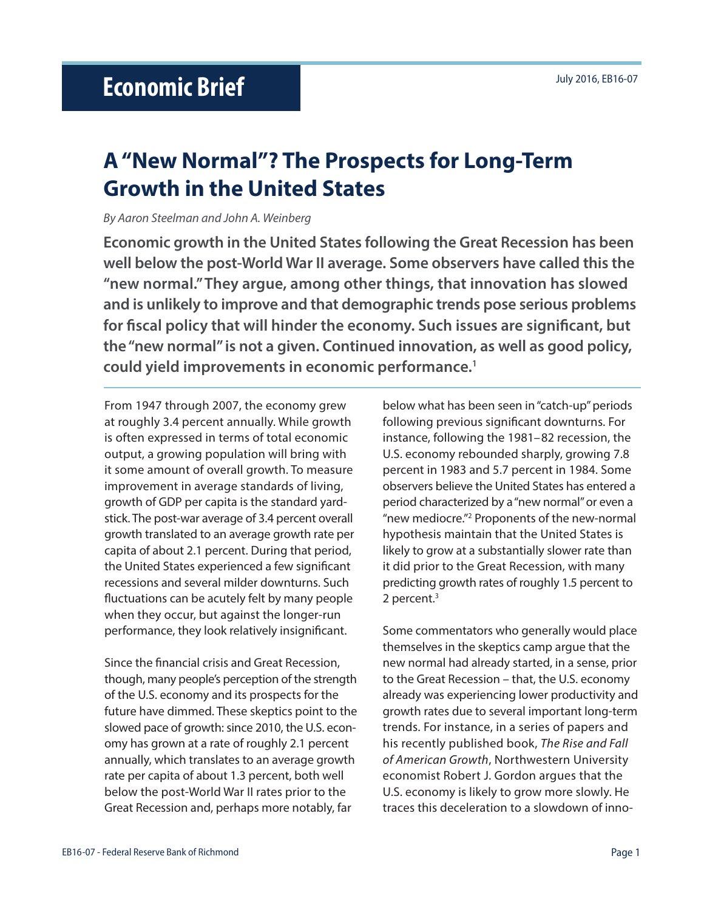# **A "New Normal"? The Prospects for Long-Term Growth in the United States**

## *By Aaron Steelman and John A. Weinberg*

**Economic growth in the United States following the Great Recession has been well below the post-World War II average. Some observers have called this the "new normal." They argue, among other things, that innovation has slowed and is unlikely to improve and that demographic trends pose serious problems for fiscal policy that will hinder the economy. Such issues are significant, but the "new normal" is not a given. Continued innovation, as well as good policy, could yield improvements in economic performance.1**

From 1947 through 2007, the economy grew at roughly 3.4 percent annually. While growth is often expressed in terms of total economic output, a growing population will bring with it some amount of overall growth. To measure improvement in average standards of living, growth of GDP per capita is the standard yardstick. The post-war average of 3.4 percent overall growth translated to an average growth rate per capita of about 2.1 percent. During that period, the United States experienced a few significant recessions and several milder downturns. Such fluctuations can be acutely felt by many people when they occur, but against the longer-run performance, they look relatively insignificant.

Since the financial crisis and Great Recession, though, many people's perception of the strength of the U.S. economy and its prospects for the future have dimmed. These skeptics point to the slowed pace of growth: since 2010, the U.S. economy has grown at a rate of roughly 2.1 percent annually, which translates to an average growth rate per capita of about 1.3 percent, both well below the post-World War II rates prior to the Great Recession and, perhaps more notably, far

below what has been seen in "catch-up" periods following previous significant downturns. For instance, following the 1981–82 recession, the U.S. economy rebounded sharply, growing 7.8 percent in 1983 and 5.7 percent in 1984. Some observers believe the United States has entered a period characterized by a "new normal" or even a "new mediocre."2 Proponents of the new-normal hypothesis maintain that the United States is likely to grow at a substantially slower rate than it did prior to the Great Recession, with many predicting growth rates of roughly 1.5 percent to 2 percent.3

Some commentators who generally would place themselves in the skeptics camp argue that the new normal had already started, in a sense, prior to the Great Recession – that, the U.S. economy already was experiencing lower productivity and growth rates due to several important long-term trends. For instance, in a series of papers and his recently published book, *The Rise and Fall of American Growth*, Northwestern University economist Robert J. Gordon argues that the U.S. economy is likely to grow more slowly. He traces this deceleration to a slowdown of inno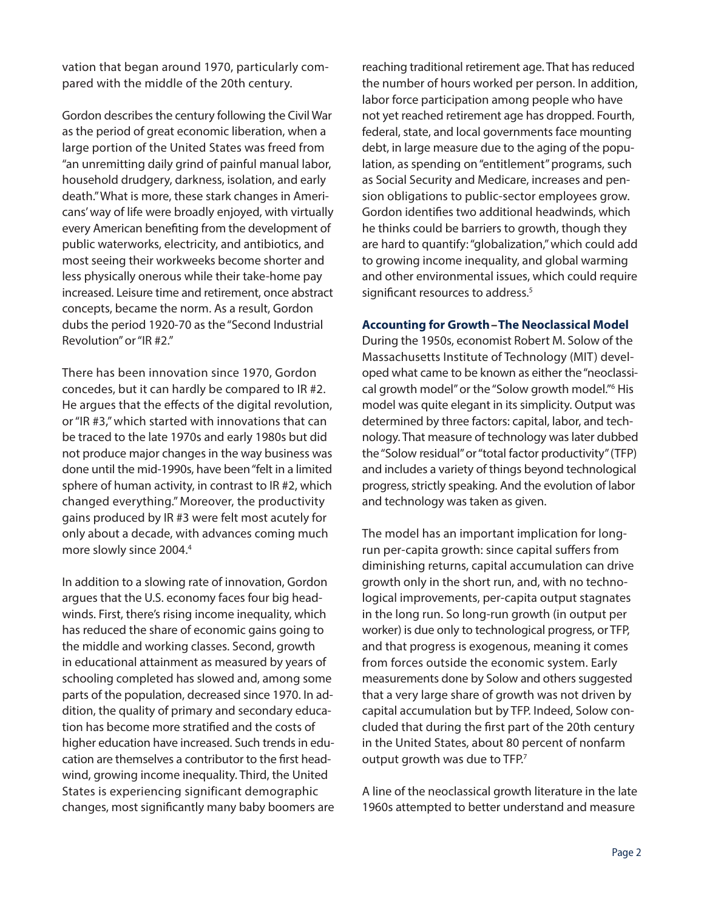vation that began around 1970, particularly compared with the middle of the 20th century.

Gordon describes the century following the Civil War as the period of great economic liberation, when a large portion of the United States was freed from "an unremitting daily grind of painful manual labor, household drudgery, darkness, isolation, and early death." What is more, these stark changes in Americans' way of life were broadly enjoyed, with virtually every American benefiting from the development of public waterworks, electricity, and antibiotics, and most seeing their workweeks become shorter and less physically onerous while their take-home pay increased. Leisure time and retirement, once abstract concepts, became the norm. As a result, Gordon dubs the period 1920-70 as the "Second Industrial Revolution" or "IR #2."

There has been innovation since 1970, Gordon concedes, but it can hardly be compared to IR #2. He argues that the effects of the digital revolution, or "IR #3," which started with innovations that can be traced to the late 1970s and early 1980s but did not produce major changes in the way business was done until the mid-1990s, have been "felt in a limited sphere of human activity, in contrast to IR #2, which changed everything." Moreover, the productivity gains produced by IR #3 were felt most acutely for only about a decade, with advances coming much more slowly since 2004.4

In addition to a slowing rate of innovation, Gordon argues that the U.S. economy faces four big headwinds. First, there's rising income inequality, which has reduced the share of economic gains going to the middle and working classes. Second, growth in educational attainment as measured by years of schooling completed has slowed and, among some parts of the population, decreased since 1970. In addition, the quality of primary and secondary education has become more stratified and the costs of higher education have increased. Such trends in education are themselves a contributor to the first headwind, growing income inequality. Third, the United States is experiencing significant demographic changes, most significantly many baby boomers are reaching traditional retirement age. That has reduced the number of hours worked per person. In addition, labor force participation among people who have not yet reached retirement age has dropped. Fourth, federal, state, and local governments face mounting debt, in large measure due to the aging of the population, as spending on "entitlement" programs, such as Social Security and Medicare, increases and pension obligations to public-sector employees grow. Gordon identifies two additional headwinds, which he thinks could be barriers to growth, though they are hard to quantify: "globalization," which could add to growing income inequality, and global warming and other environmental issues, which could require significant resources to address.<sup>5</sup>

#### **Accounting for Growth – The Neoclassical Model**

During the 1950s, economist Robert M. Solow of the Massachusetts Institute of Technology (MIT) developed what came to be known as either the "neoclassical growth model" or the "Solow growth model."<sup>6</sup> His model was quite elegant in its simplicity. Output was determined by three factors: capital, labor, and technology. That measure of technology was later dubbed the "Solow residual" or "total factor productivity" (TFP) and includes a variety of things beyond technological progress, strictly speaking. And the evolution of labor and technology was taken as given.

The model has an important implication for longrun per-capita growth: since capital suffers from diminishing returns, capital accumulation can drive growth only in the short run, and, with no technological improvements, per-capita output stagnates in the long run. So long-run growth (in output per worker) is due only to technological progress, or TFP, and that progress is exogenous, meaning it comes from forces outside the economic system. Early measurements done by Solow and others suggested that a very large share of growth was not driven by capital accumulation but by TFP. Indeed, Solow concluded that during the first part of the 20th century in the United States, about 80 percent of nonfarm output growth was due to TFP.<sup>7</sup>

A line of the neoclassical growth literature in the late 1960s attempted to better understand and measure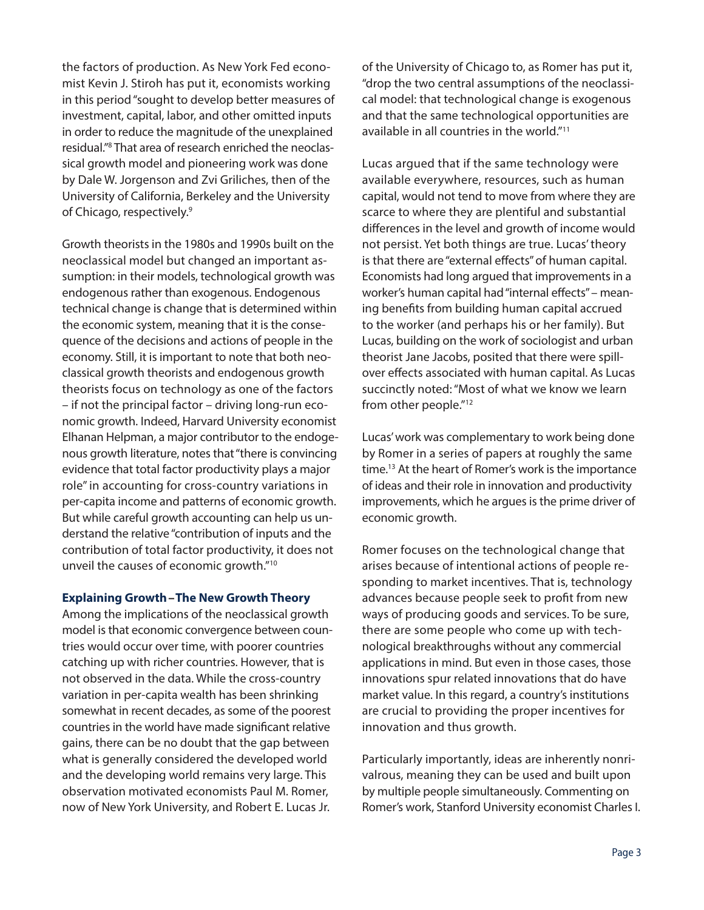the factors of production. As New York Fed economist Kevin J. Stiroh has put it, economists working in this period "sought to develop better measures of investment, capital, labor, and other omitted inputs in order to reduce the magnitude of the unexplained residual."8 That area of research enriched the neoclassical growth model and pioneering work was done by Dale W. Jorgenson and Zvi Griliches, then of the University of California, Berkeley and the University of Chicago, respectively.9

Growth theorists in the 1980s and 1990s built on the neoclassical model but changed an important assumption: in their models, technological growth was endogenous rather than exogenous. Endogenous technical change is change that is determined within the economic system, meaning that it is the consequence of the decisions and actions of people in the economy. Still, it is important to note that both neoclassical growth theorists and endogenous growth theorists focus on technology as one of the factors – if not the principal factor – driving long-run economic growth. Indeed, Harvard University economist Elhanan Helpman, a major contributor to the endogenous growth literature, notes that "there is convincing evidence that total factor productivity plays a major role" in accounting for cross-country variations in per-capita income and patterns of economic growth. But while careful growth accounting can help us understand the relative "contribution of inputs and the contribution of total factor productivity, it does not unveil the causes of economic growth."10

#### **Explaining Growth – The New Growth Theory**

Among the implications of the neoclassical growth model is that economic convergence between countries would occur over time, with poorer countries catching up with richer countries. However, that is not observed in the data. While the cross-country variation in per-capita wealth has been shrinking somewhat in recent decades, as some of the poorest countries in the world have made significant relative gains, there can be no doubt that the gap between what is generally considered the developed world and the developing world remains very large. This observation motivated economists Paul M. Romer, now of New York University, and Robert E. Lucas Jr.

of the University of Chicago to, as Romer has put it, "drop the two central assumptions of the neoclassical model: that technological change is exogenous and that the same technological opportunities are available in all countries in the world."11

Lucas argued that if the same technology were available everywhere, resources, such as human capital, would not tend to move from where they are scarce to where they are plentiful and substantial differences in the level and growth of income would not persist. Yet both things are true. Lucas' theory is that there are "external effects" of human capital. Economists had long argued that improvements in a worker's human capital had "internal effects" – meaning benefits from building human capital accrued to the worker (and perhaps his or her family). But Lucas, building on the work of sociologist and urban theorist Jane Jacobs, posited that there were spillover effects associated with human capital. As Lucas succinctly noted: "Most of what we know we learn from other people."<sup>12</sup>

Lucas' work was complementary to work being done by Romer in a series of papers at roughly the same time.13 At the heart of Romer's work is the importance of ideas and their role in innovation and productivity improvements, which he argues is the prime driver of economic growth.

Romer focuses on the technological change that arises because of intentional actions of people responding to market incentives. That is, technology advances because people seek to profit from new ways of producing goods and services. To be sure, there are some people who come up with technological breakthroughs without any commercial applications in mind. But even in those cases, those innovations spur related innovations that do have market value. In this regard, a country's institutions are crucial to providing the proper incentives for innovation and thus growth.

Particularly importantly, ideas are inherently nonrivalrous, meaning they can be used and built upon by multiple people simultaneously. Commenting on Romer's work, Stanford University economist Charles I.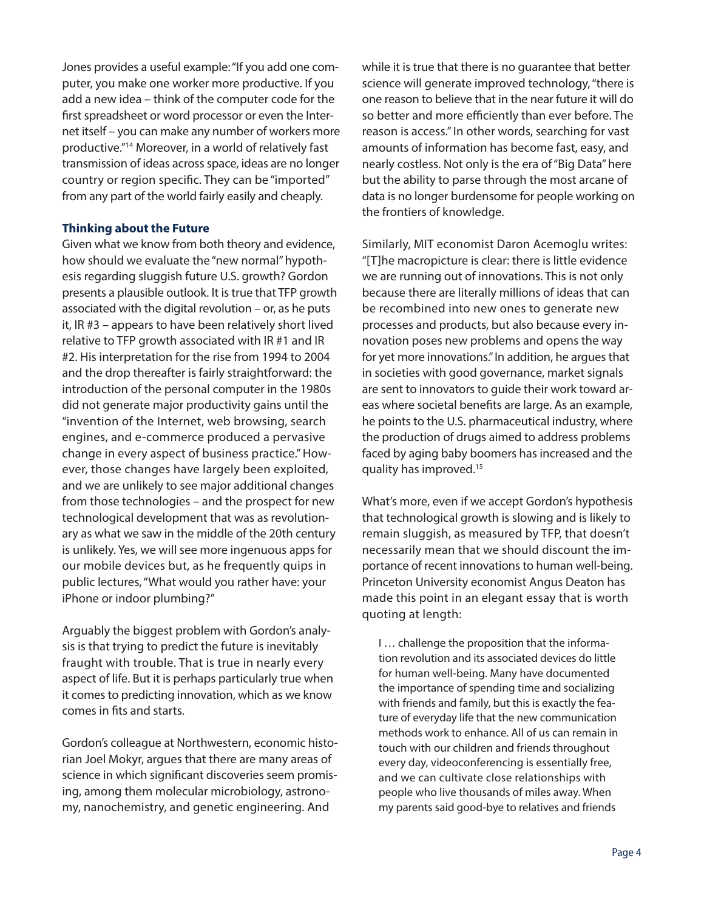Jones provides a useful example: "If you add one computer, you make one worker more productive. If you add a new idea – think of the computer code for the first spreadsheet or word processor or even the Internet itself – you can make any number of workers more productive."14 Moreover, in a world of relatively fast transmission of ideas across space, ideas are no longer country or region specific. They can be "imported" from any part of the world fairly easily and cheaply.

### **Thinking about the Future**

Given what we know from both theory and evidence, how should we evaluate the "new normal" hypothesis regarding sluggish future U.S. growth? Gordon presents a plausible outlook. It is true that TFP growth associated with the digital revolution – or, as he puts it, IR #3 – appears to have been relatively short lived relative to TFP growth associated with IR #1 and IR #2. His interpretation for the rise from 1994 to 2004 and the drop thereafter is fairly straightforward: the introduction of the personal computer in the 1980s did not generate major productivity gains until the "invention of the Internet, web browsing, search engines, and e-commerce produced a pervasive change in every aspect of business practice." However, those changes have largely been exploited, and we are unlikely to see major additional changes from those technologies – and the prospect for new technological development that was as revolutionary as what we saw in the middle of the 20th century is unlikely. Yes, we will see more ingenuous apps for our mobile devices but, as he frequently quips in public lectures, "What would you rather have: your iPhone or indoor plumbing?"

Arguably the biggest problem with Gordon's analysis is that trying to predict the future is inevitably fraught with trouble. That is true in nearly every aspect of life. But it is perhaps particularly true when it comes to predicting innovation, which as we know comes in fits and starts.

Gordon's colleague at Northwestern, economic historian Joel Mokyr, argues that there are many areas of science in which significant discoveries seem promising, among them molecular microbiology, astronomy, nanochemistry, and genetic engineering. And

while it is true that there is no guarantee that better science will generate improved technology, "there is one reason to believe that in the near future it will do so better and more efficiently than ever before. The reason is access." In other words, searching for vast amounts of information has become fast, easy, and nearly costless. Not only is the era of "Big Data" here but the ability to parse through the most arcane of data is no longer burdensome for people working on the frontiers of knowledge.

Similarly, MIT economist Daron Acemoglu writes: "[T]he macropicture is clear: there is little evidence we are running out of innovations. This is not only because there are literally millions of ideas that can be recombined into new ones to generate new processes and products, but also because every innovation poses new problems and opens the way for yet more innovations." In addition, he argues that in societies with good governance, market signals are sent to innovators to guide their work toward areas where societal benefits are large. As an example, he points to the U.S. pharmaceutical industry, where the production of drugs aimed to address problems faced by aging baby boomers has increased and the quality has improved.15

What's more, even if we accept Gordon's hypothesis that technological growth is slowing and is likely to remain sluggish, as measured by TFP, that doesn't necessarily mean that we should discount the importance of recent innovations to human well-being. Princeton University economist Angus Deaton has made this point in an elegant essay that is worth quoting at length:

I … challenge the proposition that the information revolution and its associated devices do little for human well-being. Many have documented the importance of spending time and socializing with friends and family, but this is exactly the feature of everyday life that the new communication methods work to enhance. All of us can remain in touch with our children and friends throughout every day, videoconferencing is essentially free, and we can cultivate close relationships with people who live thousands of miles away. When my parents said good-bye to relatives and friends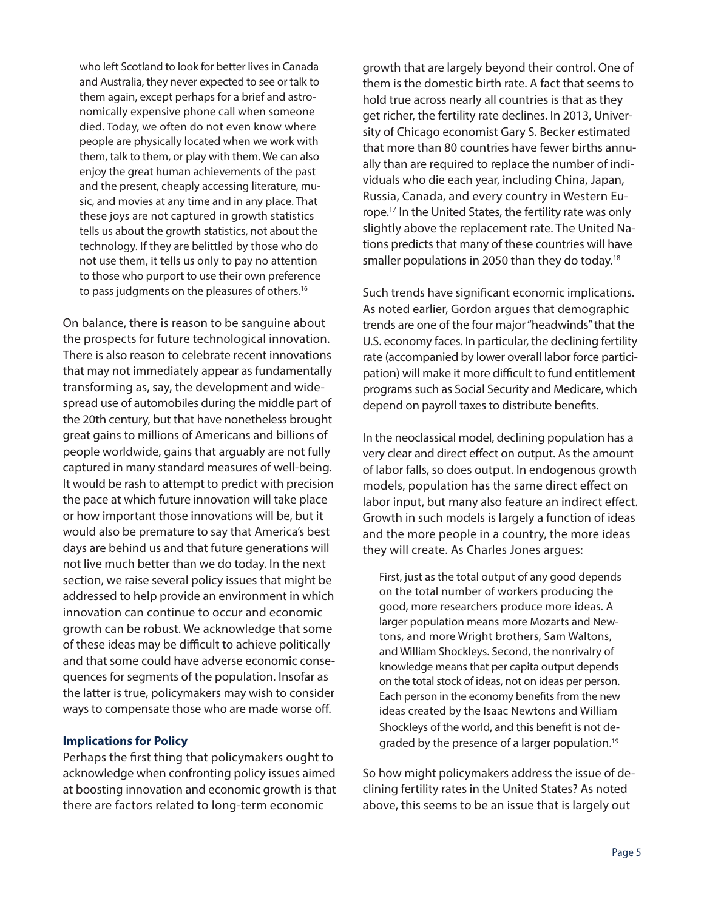who left Scotland to look for better lives in Canada and Australia, they never expected to see or talk to them again, except perhaps for a brief and astronomically expensive phone call when someone died. Today, we often do not even know where people are physically located when we work with them, talk to them, or play with them. We can also enjoy the great human achievements of the past and the present, cheaply accessing literature, music, and movies at any time and in any place. That these joys are not captured in growth statistics tells us about the growth statistics, not about the technology. If they are belittled by those who do not use them, it tells us only to pay no attention to those who purport to use their own preference to pass judgments on the pleasures of others.<sup>16</sup>

On balance, there is reason to be sanguine about the prospects for future technological innovation. There is also reason to celebrate recent innovations that may not immediately appear as fundamentally transforming as, say, the development and widespread use of automobiles during the middle part of the 20th century, but that have nonetheless brought great gains to millions of Americans and billions of people worldwide, gains that arguably are not fully captured in many standard measures of well-being. It would be rash to attempt to predict with precision the pace at which future innovation will take place or how important those innovations will be, but it would also be premature to say that America's best days are behind us and that future generations will not live much better than we do today. In the next section, we raise several policy issues that might be addressed to help provide an environment in which innovation can continue to occur and economic growth can be robust. We acknowledge that some of these ideas may be difficult to achieve politically and that some could have adverse economic consequences for segments of the population. Insofar as the latter is true, policymakers may wish to consider ways to compensate those who are made worse off.

#### **Implications for Policy**

Perhaps the first thing that policymakers ought to acknowledge when confronting policy issues aimed at boosting innovation and economic growth is that there are factors related to long-term economic

growth that are largely beyond their control. One of them is the domestic birth rate. A fact that seems to hold true across nearly all countries is that as they get richer, the fertility rate declines. In 2013, University of Chicago economist Gary S. Becker estimated that more than 80 countries have fewer births annually than are required to replace the number of individuals who die each year, including China, Japan, Russia, Canada, and every country in Western Europe.17 In the United States, the fertility rate was only slightly above the replacement rate. The United Nations predicts that many of these countries will have smaller populations in 2050 than they do today.<sup>18</sup>

Such trends have significant economic implications. As noted earlier, Gordon argues that demographic trends are one of the four major "headwinds" that the U.S. economy faces. In particular, the declining fertility rate (accompanied by lower overall labor force participation) will make it more difficult to fund entitlement programs such as Social Security and Medicare, which depend on payroll taxes to distribute benefits.

In the neoclassical model, declining population has a very clear and direct effect on output. As the amount of labor falls, so does output. In endogenous growth models, population has the same direct effect on labor input, but many also feature an indirect effect. Growth in such models is largely a function of ideas and the more people in a country, the more ideas they will create. As Charles Jones argues:

First, just as the total output of any good depends on the total number of workers producing the good, more researchers produce more ideas. A larger population means more Mozarts and Newtons, and more Wright brothers, Sam Waltons, and William Shockleys. Second, the nonrivalry of knowledge means that per capita output depends on the total stock of ideas, not on ideas per person. Each person in the economy benefits from the new ideas created by the Isaac Newtons and William Shockleys of the world, and this benefit is not degraded by the presence of a larger population.19

So how might policymakers address the issue of declining fertility rates in the United States? As noted above, this seems to be an issue that is largely out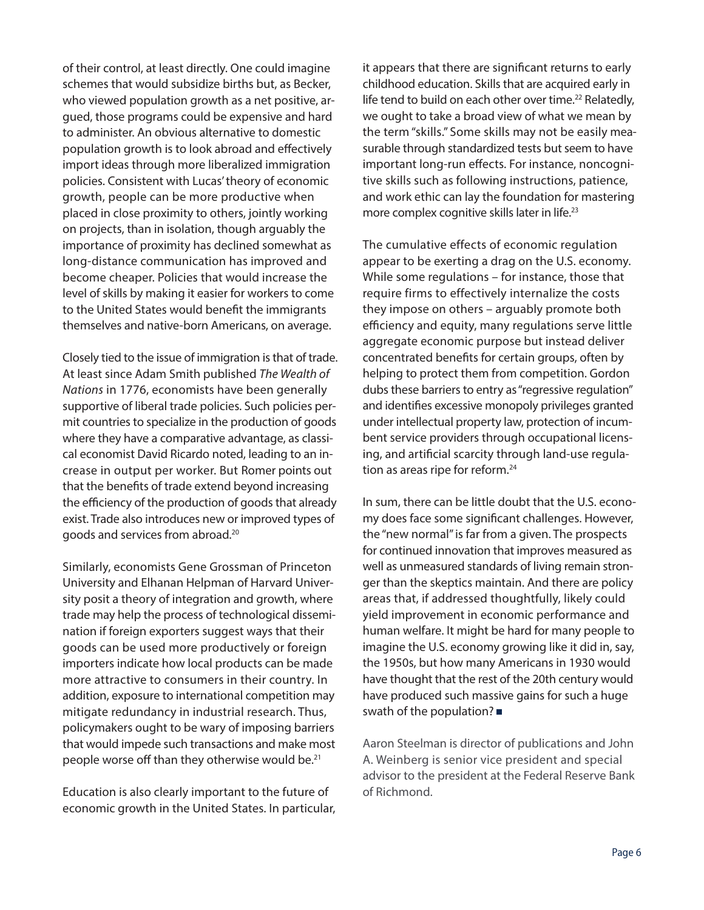of their control, at least directly. One could imagine schemes that would subsidize births but, as Becker, who viewed population growth as a net positive, argued, those programs could be expensive and hard to administer. An obvious alternative to domestic population growth is to look abroad and effectively import ideas through more liberalized immigration policies. Consistent with Lucas' theory of economic growth, people can be more productive when placed in close proximity to others, jointly working on projects, than in isolation, though arguably the importance of proximity has declined somewhat as long-distance communication has improved and become cheaper. Policies that would increase the level of skills by making it easier for workers to come to the United States would benefit the immigrants themselves and native-born Americans, on average.

Closely tied to the issue of immigration is that of trade. At least since Adam Smith published *The Wealth of Nations* in 1776, economists have been generally supportive of liberal trade policies. Such policies permit countries to specialize in the production of goods where they have a comparative advantage, as classical economist David Ricardo noted, leading to an increase in output per worker. But Romer points out that the benefits of trade extend beyond increasing the efficiency of the production of goods that already exist. Trade also introduces new or improved types of goods and services from abroad.20

Similarly, economists Gene Grossman of Princeton University and Elhanan Helpman of Harvard University posit a theory of integration and growth, where trade may help the process of technological dissemination if foreign exporters suggest ways that their goods can be used more productively or foreign importers indicate how local products can be made more attractive to consumers in their country. In addition, exposure to international competition may mitigate redundancy in industrial research. Thus, policymakers ought to be wary of imposing barriers that would impede such transactions and make most people worse off than they otherwise would be.<sup>21</sup>

Education is also clearly important to the future of economic growth in the United States. In particular, it appears that there are significant returns to early childhood education. Skills that are acquired early in life tend to build on each other over time.<sup>22</sup> Relatedly, we ought to take a broad view of what we mean by the term "skills." Some skills may not be easily measurable through standardized tests but seem to have important long-run effects. For instance, noncognitive skills such as following instructions, patience, and work ethic can lay the foundation for mastering more complex cognitive skills later in life.23

The cumulative effects of economic regulation appear to be exerting a drag on the U.S. economy. While some regulations – for instance, those that require firms to effectively internalize the costs they impose on others – arguably promote both efficiency and equity, many regulations serve little aggregate economic purpose but instead deliver concentrated benefits for certain groups, often by helping to protect them from competition. Gordon dubs these barriers to entry as "regressive regulation" and identifies excessive monopoly privileges granted under intellectual property law, protection of incumbent service providers through occupational licensing, and artificial scarcity through land-use regulation as areas ripe for reform.<sup>24</sup>

In sum, there can be little doubt that the U.S. economy does face some significant challenges. However, the "new normal" is far from a given. The prospects for continued innovation that improves measured as well as unmeasured standards of living remain stronger than the skeptics maintain. And there are policy areas that, if addressed thoughtfully, likely could yield improvement in economic performance and human welfare. It might be hard for many people to imagine the U.S. economy growing like it did in, say, the 1950s, but how many Americans in 1930 would have thought that the rest of the 20th century would have produced such massive gains for such a huge swath of the population?

Aaron Steelman is director of publications and John A. Weinberg is senior vice president and special advisor to the president at the Federal Reserve Bank of Richmond.